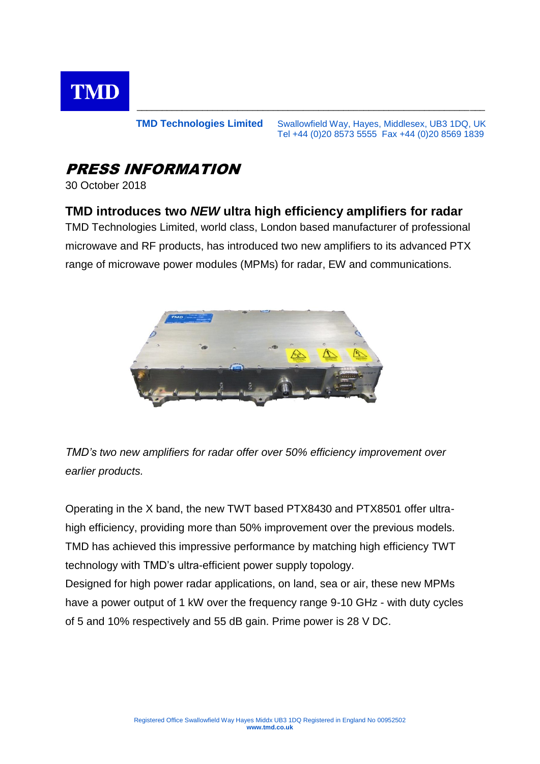

#### **TMD Technologies Limited** Swallowfield Way, Hayes, Middlesex, UB3 1DQ, UK Tel +44 (0)20 8573 5555 Fax +44 (0)20 8569 1839

\_\_\_\_\_\_\_\_\_\_\_\_\_\_\_\_\_\_\_\_\_\_\_\_\_\_\_\_\_\_\_\_\_\_\_\_\_\_\_\_\_\_\_\_\_\_\_\_\_\_\_\_\_\_\_\_\_\_\_\_\_\_\_\_\_\_\_\_\_

# PRESS INFORMATION

30 October 2018

## **TMD introduces two** *NEW* **ultra high efficiency amplifiers for radar**

TMD Technologies Limited, world class, London based manufacturer of professional microwave and RF products, has introduced two new amplifiers to its advanced PTX range of microwave power modules (MPMs) for radar, EW and communications.



*TMD's two new amplifiers for radar offer over 50% efficiency improvement over earlier products.*

Operating in the X band, the new TWT based PTX8430 and PTX8501 offer ultrahigh efficiency, providing more than 50% improvement over the previous models. TMD has achieved this impressive performance by matching high efficiency TWT technology with TMD's ultra-efficient power supply topology.

Designed for high power radar applications, on land, sea or air, these new MPMs have a power output of 1 kW over the frequency range 9-10 GHz - with duty cycles of 5 and 10% respectively and 55 dB gain. Prime power is 28 V DC.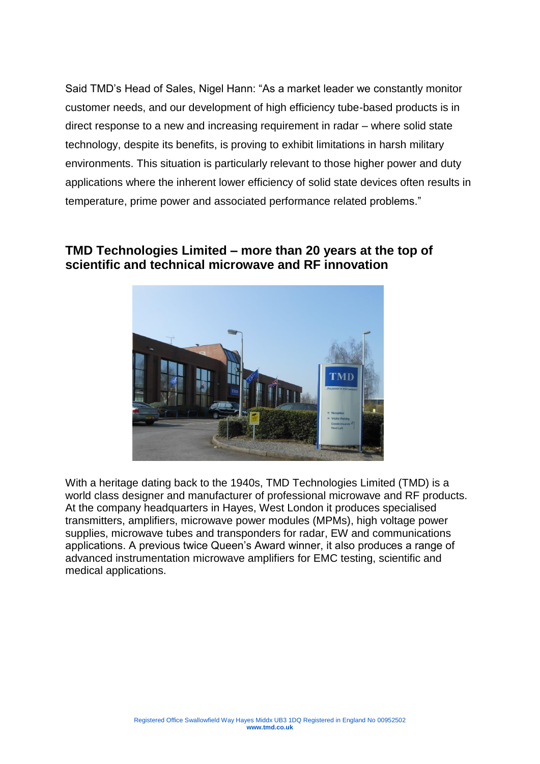Said TMD's Head of Sales, Nigel Hann: "As a market leader we constantly monitor customer needs, and our development of high efficiency tube-based products is in direct response to a new and increasing requirement in radar – where solid state technology, despite its benefits, is proving to exhibit limitations in harsh military environments. This situation is particularly relevant to those higher power and duty applications where the inherent lower efficiency of solid state devices often results in temperature, prime power and associated performance related problems."

## **TMD Technologies Limited – more than 20 years at the top of scientific and technical microwave and RF innovation**



With a heritage dating back to the 1940s, TMD Technologies Limited (TMD) is a world class designer and manufacturer of professional microwave and RF products. At the company headquarters in Hayes, West London it produces specialised transmitters, amplifiers, microwave power modules (MPMs), high voltage power supplies, microwave tubes and transponders for radar, EW and communications applications. A previous twice Queen's Award winner, it also produces a range of advanced instrumentation microwave amplifiers for EMC testing, scientific and medical applications.